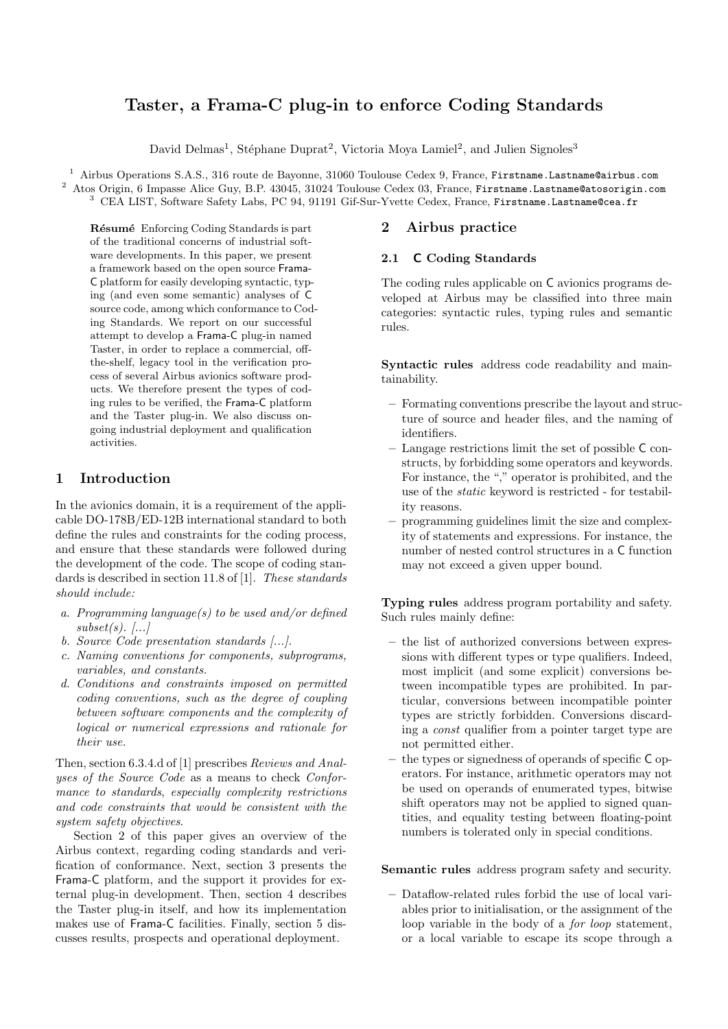# Taster, a Frama-C plug-in to enforce Coding Standards

David Delmas<sup>1</sup>, Stéphane Duprat<sup>2</sup>, Victoria Moya Lamiel<sup>2</sup>, and Julien Signoles<sup>3</sup>

<sup>1</sup> Airbus Operations S.A.S., 316 route de Bayonne, 31060 Toulouse Cedex 9, France, Firstname.Lastname@airbus.com <sup>2</sup> Atos Origin, 6 Impasse Alice Guy, B.P. 43045, 31024 Toulouse Cedex 03, France, Firstname.Lastname@atosorigin.com  $^3$  CEA LIST, Software Safety Labs, PC 94, 91191 Gif-Sur-Yvette Cedex, France, Firstname.Lastname@cea.fr

Résumé Enforcing Coding Standards is part of the traditional concerns of industrial software developments. In this paper, we present a framework based on the open source Frama-C platform for easily developing syntactic, typing (and even some semantic) analyses of C source code, among which conformance to Coding Standards. We report on our successful attempt to develop a Frama-C plug-in named Taster, in order to replace a commercial, offthe-shelf, legacy tool in the verification process of several Airbus avionics software products. We therefore present the types of coding rules to be verified, the Frama-C platform and the Taster plug-in. We also discuss ongoing industrial deployment and qualification activities.

# 1 Introduction

In the avionics domain, it is a requirement of the applicable DO-178B/ED-12B international standard to both define the rules and constraints for the coding process, and ensure that these standards were followed during the development of the code. The scope of coding standards is described in section 11.8 of [1]. These standards should include:

- a. Programming language(s) to be used and/or defined  $subset(s)$ . [...]
- b. Source Code presentation standards [...].
- c. Naming conventions for components, subprograms, variables, and constants.
- d. Conditions and constraints imposed on permitted coding conventions, such as the degree of coupling between software components and the complexity of logical or numerical expressions and rationale for their use.

Then, section 6.3.4.d of [1] prescribes Reviews and Analyses of the Source Code as a means to check Conformance to standards, especially complexity restrictions and code constraints that would be consistent with the system safety objectives.

Section 2 of this paper gives an overview of the Airbus context, regarding coding standards and verification of conformance. Next, section 3 presents the Frama-C platform, and the support it provides for external plug-in development. Then, section 4 describes the Taster plug-in itself, and how its implementation makes use of Frama-C facilities. Finally, section 5 discusses results, prospects and operational deployment.

# 2 Airbus practice

# 2.1 C Coding Standards

The coding rules applicable on C avionics programs developed at Airbus may be classified into three main categories: syntactic rules, typing rules and semantic rules.

Syntactic rules address code readability and maintainability.

- Formating conventions prescribe the layout and structure of source and header files, and the naming of identifiers.
- Langage restrictions limit the set of possible C constructs, by forbidding some operators and keywords. For instance, the "," operator is prohibited, and the use of the static keyword is restricted - for testability reasons.
- programming guidelines limit the size and complexity of statements and expressions. For instance, the number of nested control structures in a C function may not exceed a given upper bound.

Typing rules address program portability and safety. Such rules mainly define:

- the list of authorized conversions between expressions with different types or type qualifiers. Indeed, most implicit (and some explicit) conversions between incompatible types are prohibited. In particular, conversions between incompatible pointer types are strictly forbidden. Conversions discarding a const qualifier from a pointer target type are not permitted either.
- the types or signedness of operands of specific C operators. For instance, arithmetic operators may not be used on operands of enumerated types, bitwise shift operators may not be applied to signed quantities, and equality testing between floating-point numbers is tolerated only in special conditions.

Semantic rules address program safety and security.

– Dataflow-related rules forbid the use of local variables prior to initialisation, or the assignment of the loop variable in the body of a for loop statement, or a local variable to escape its scope through a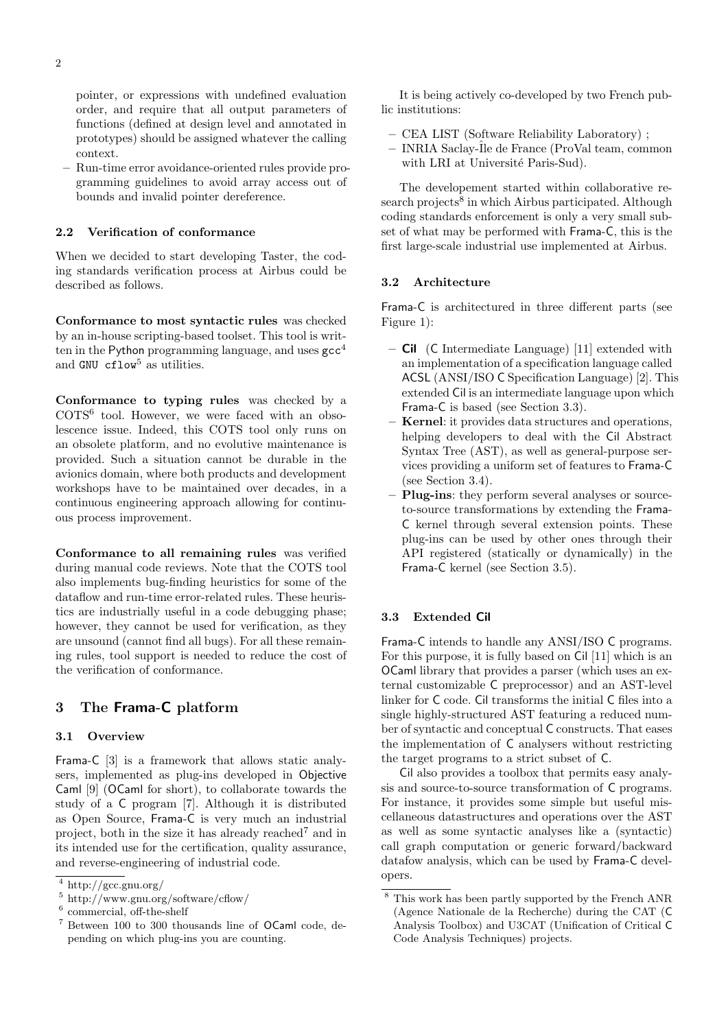pointer, or expressions with undefined evaluation order, and require that all output parameters of functions (defined at design level and annotated in prototypes) should be assigned whatever the calling context.

– Run-time error avoidance-oriented rules provide programming guidelines to avoid array access out of bounds and invalid pointer dereference.

# 2.2 Verification of conformance

When we decided to start developing Taster, the coding standards verification process at Airbus could be described as follows.

Conformance to most syntactic rules was checked by an in-house scripting-based toolset. This tool is written in the Python programming language, and uses  $\text{gcc}^4$ and GNU  $cflow<sup>5</sup>$  as utilities.

Conformance to typing rules was checked by a COTS<sup>6</sup> tool. However, we were faced with an obsolescence issue. Indeed, this COTS tool only runs on an obsolete platform, and no evolutive maintenance is provided. Such a situation cannot be durable in the avionics domain, where both products and development workshops have to be maintained over decades, in a continuous engineering approach allowing for continuous process improvement.

Conformance to all remaining rules was verified during manual code reviews. Note that the COTS tool also implements bug-finding heuristics for some of the dataflow and run-time error-related rules. These heuristics are industrially useful in a code debugging phase; however, they cannot be used for verification, as they are unsound (cannot find all bugs). For all these remaining rules, tool support is needed to reduce the cost of the verification of conformance.

# 3 The Frama-C platform

#### 3.1 Overview

Frama-C [3] is a framework that allows static analysers, implemented as plug-ins developed in Objective Caml [9] (OCaml for short), to collaborate towards the study of a C program [7]. Although it is distributed as Open Source, Frama-C is very much an industrial project, both in the size it has already reached<sup>7</sup> and in its intended use for the certification, quality assurance, and reverse-engineering of industrial code.

It is being actively co-developed by two French public institutions:

- CEA LIST (Software Reliability Laboratory) ;
- INRIA Saclay-ˆIle de France (ProVal team, common with LRI at Université Paris-Sud).

The developement started within collaborative research projects<sup>8</sup> in which Airbus participated. Although coding standards enforcement is only a very small subset of what may be performed with Frama-C, this is the first large-scale industrial use implemented at Airbus.

# 3.2 Architecture

Frama-C is architectured in three different parts (see Figure 1):

- Cil (C Intermediate Language) [11] extended with an implementation of a specification language called ACSL (ANSI/ISO C Specification Language) [2]. This extended Cil is an intermediate language upon which Frama-C is based (see Section 3.3).
- Kernel: it provides data structures and operations, helping developers to deal with the Cil Abstract Syntax Tree (AST), as well as general-purpose services providing a uniform set of features to Frama-C (see Section 3.4).
- Plug-ins: they perform several analyses or sourceto-source transformations by extending the Frama-C kernel through several extension points. These plug-ins can be used by other ones through their API registered (statically or dynamically) in the Frama-C kernel (see Section 3.5).

# 3.3 Extended Cil

Frama-C intends to handle any ANSI/ISO C programs. For this purpose, it is fully based on Cil [11] which is an OCaml library that provides a parser (which uses an external customizable C preprocessor) and an AST-level linker for C code. Cil transforms the initial C files into a single highly-structured AST featuring a reduced number of syntactic and conceptual C constructs. That eases the implementation of C analysers without restricting the target programs to a strict subset of C.

Cil also provides a toolbox that permits easy analysis and source-to-source transformation of C programs. For instance, it provides some simple but useful miscellaneous datastructures and operations over the AST as well as some syntactic analyses like a (syntactic) call graph computation or generic forward/backward datafow analysis, which can be used by Frama-C developers.

 $^4$ http://gcc.gnu.org/  $\,$ 

<sup>5</sup> http://www.gnu.org/software/cflow/

<sup>6</sup> commercial, off-the-shelf

<sup>7</sup> Between 100 to 300 thousands line of OCaml code, depending on which plug-ins you are counting.

 $^8$  This work has been partly supported by the French ANR  $\,$ (Agence Nationale de la Recherche) during the CAT (C Analysis Toolbox) and U3CAT (Unification of Critical C Code Analysis Techniques) projects.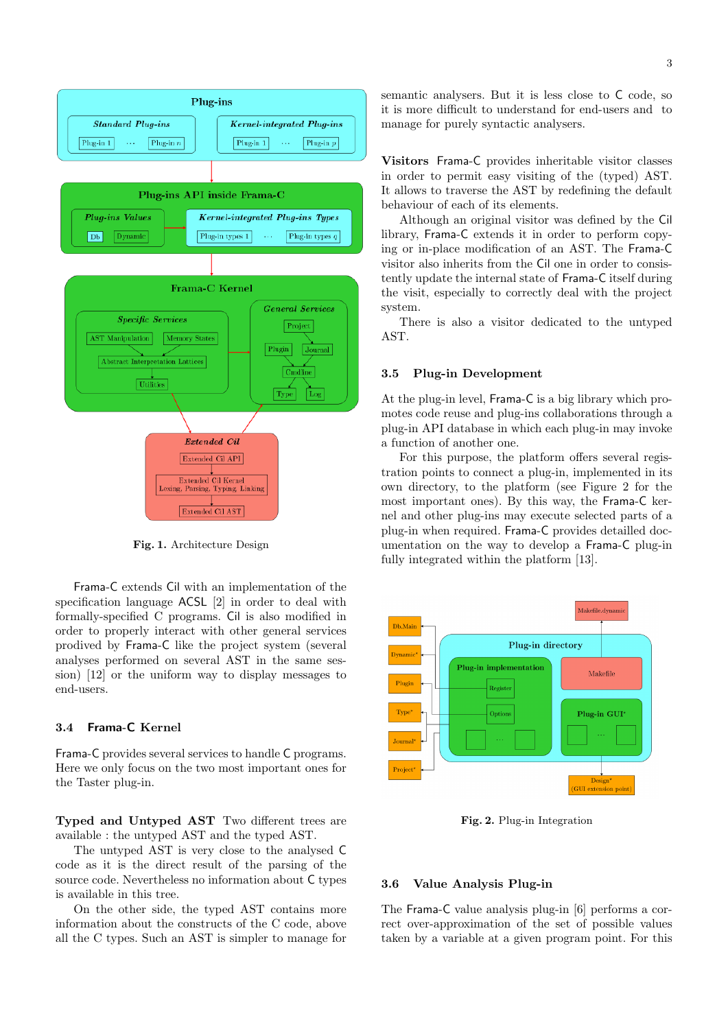

Fig. 1. Architecture Design

Frama-C extends Cil with an implementation of the specification language ACSL [2] in order to deal with formally-specified C programs. Cil is also modified in order to properly interact with other general services prodived by Frama-C like the project system (several analyses performed on several AST in the same session) [12] or the uniform way to display messages to end-users.

# 3.4 Frama-C Kernel

Frama-C provides several services to handle C programs. Here we only focus on the two most important ones for the Taster plug-in.

Typed and Untyped AST Two different trees are available : the untyped AST and the typed AST.

The untyped AST is very close to the analysed C code as it is the direct result of the parsing of the source code. Nevertheless no information about C types is available in this tree.

On the other side, the typed AST contains more information about the constructs of the C code, above all the C types. Such an AST is simpler to manage for semantic analysers. But it is less close to C code, so it is more difficult to understand for end-users and to manage for purely syntactic analysers.

Visitors Frama-C provides inheritable visitor classes in order to permit easy visiting of the (typed) AST. It allows to traverse the AST by redefining the default behaviour of each of its elements.

Although an original visitor was defined by the Cil library, Frama-C extends it in order to perform copying or in-place modification of an AST. The Frama-C visitor also inherits from the Cil one in order to consistently update the internal state of Frama-C itself during the visit, especially to correctly deal with the project system.

There is also a visitor dedicated to the untyped AST.

# 3.5 Plug-in Development

At the plug-in level, Frama-C is a big library which promotes code reuse and plug-ins collaborations through a plug-in API database in which each plug-in may invoke a function of another one.

For this purpose, the platform offers several registration points to connect a plug-in, implemented in its own directory, to the platform (see Figure 2 for the most important ones). By this way, the Frama-C kernel and other plug-ins may execute selected parts of a plug-in when required. Frama-C provides detailled documentation on the way to develop a Frama-C plug-in fully integrated within the platform [13].



Fig. 2. Plug-in Integration

#### 3.6 Value Analysis Plug-in

The Frama-C value analysis plug-in [6] performs a correct over-approximation of the set of possible values taken by a variable at a given program point. For this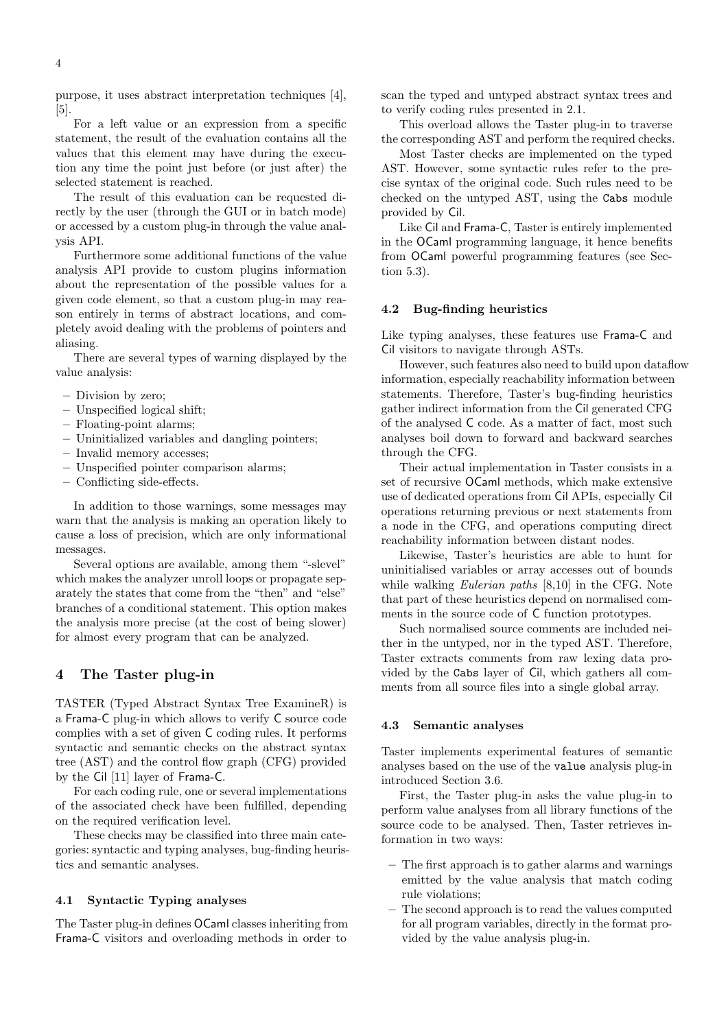purpose, it uses abstract interpretation techniques [4], [5].

For a left value or an expression from a specific statement, the result of the evaluation contains all the values that this element may have during the execution any time the point just before (or just after) the selected statement is reached.

The result of this evaluation can be requested directly by the user (through the GUI or in batch mode) or accessed by a custom plug-in through the value analysis API.

Furthermore some additional functions of the value analysis API provide to custom plugins information about the representation of the possible values for a given code element, so that a custom plug-in may reason entirely in terms of abstract locations, and completely avoid dealing with the problems of pointers and aliasing.

There are several types of warning displayed by the value analysis:

- Division by zero;
- Unspecified logical shift;
- Floating-point alarms;
- Uninitialized variables and dangling pointers;
- Invalid memory accesses;
- Unspecified pointer comparison alarms;
- Conflicting side-effects.

In addition to those warnings, some messages may warn that the analysis is making an operation likely to cause a loss of precision, which are only informational messages.

Several options are available, among them "-slevel" which makes the analyzer unroll loops or propagate separately the states that come from the "then" and "else" branches of a conditional statement. This option makes the analysis more precise (at the cost of being slower) for almost every program that can be analyzed.

# 4 The Taster plug-in

TASTER (Typed Abstract Syntax Tree ExamineR) is a Frama-C plug-in which allows to verify C source code complies with a set of given C coding rules. It performs syntactic and semantic checks on the abstract syntax tree (AST) and the control flow graph (CFG) provided by the Cil [11] layer of Frama-C.

For each coding rule, one or several implementations of the associated check have been fulfilled, depending on the required verification level.

These checks may be classified into three main categories: syntactic and typing analyses, bug-finding heuristics and semantic analyses.

#### 4.1 Syntactic Typing analyses

The Taster plug-in defines OCaml classes inheriting from Frama-C visitors and overloading methods in order to

scan the typed and untyped abstract syntax trees and to verify coding rules presented in 2.1.

This overload allows the Taster plug-in to traverse the corresponding AST and perform the required checks.

Most Taster checks are implemented on the typed AST. However, some syntactic rules refer to the precise syntax of the original code. Such rules need to be checked on the untyped AST, using the Cabs module provided by Cil.

Like Cil and Frama-C, Taster is entirely implemented in the OCaml programming language, it hence benefits from OCaml powerful programming features (see Section 5.3).

#### 4.2 Bug-finding heuristics

Like typing analyses, these features use Frama-C and Cil visitors to navigate through ASTs.

However, such features also need to build upon dataflow information, especially reachability information between statements. Therefore, Taster's bug-finding heuristics gather indirect information from the Cil generated CFG of the analysed C code. As a matter of fact, most such analyses boil down to forward and backward searches through the CFG.

Their actual implementation in Taster consists in a set of recursive OCaml methods, which make extensive use of dedicated operations from Cil APIs, especially Cil operations returning previous or next statements from a node in the CFG, and operations computing direct reachability information between distant nodes.

Likewise, Taster's heuristics are able to hunt for uninitialised variables or array accesses out of bounds while walking Eulerian paths [8,10] in the CFG. Note that part of these heuristics depend on normalised comments in the source code of C function prototypes.

Such normalised source comments are included neither in the untyped, nor in the typed AST. Therefore, Taster extracts comments from raw lexing data provided by the Cabs layer of Cil, which gathers all comments from all source files into a single global array.

#### 4.3 Semantic analyses

Taster implements experimental features of semantic analyses based on the use of the value analysis plug-in introduced Section 3.6.

First, the Taster plug-in asks the value plug-in to perform value analyses from all library functions of the source code to be analysed. Then, Taster retrieves information in two ways:

- The first approach is to gather alarms and warnings emitted by the value analysis that match coding rule violations;
- The second approach is to read the values computed for all program variables, directly in the format provided by the value analysis plug-in.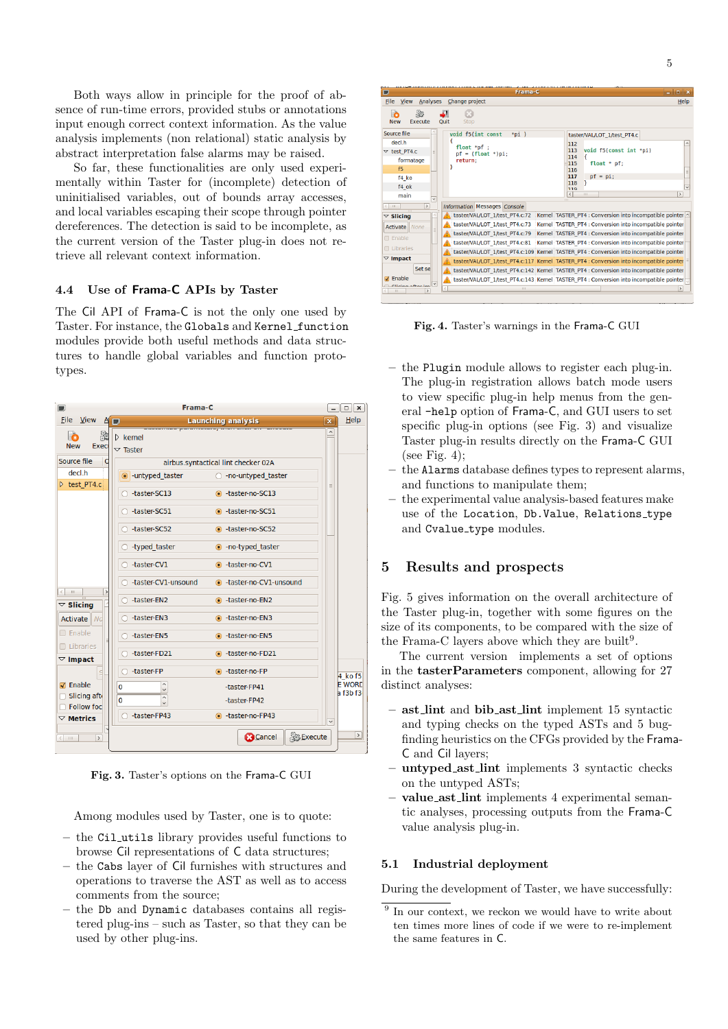Both ways allow in principle for the proof of absence of run-time errors, provided stubs or annotations input enough correct context information. As the value analysis implements (non relational) static analysis by abstract interpretation false alarms may be raised.

So far, these functionalities are only used experimentally within Taster for (incomplete) detection of uninitialised variables, out of bounds array accesses, and local variables escaping their scope through pointer dereferences. The detection is said to be incomplete, as the current version of the Taster plug-in does not retrieve all relevant context information.

### 4.4 Use of Frama-C APIs by Taster

The Cil API of Frama-C is not the only one used by Taster. For instance, the Globals and Kernel function modules provide both useful methods and data structures to handle global variables and function prototypes.

| Frama-C<br>٠                                    |                                                                                              |                 | $\mathbf{x}$<br>$\Box$    |
|-------------------------------------------------|----------------------------------------------------------------------------------------------|-----------------|---------------------------|
| File $V$ iew $A$                                | <b>Launching analysis</b>                                                                    | $\vert x \vert$ | $He$ lp                   |
| 3<br>'n<br><b>New</b><br>Exec                   | <u>advormes parameters, unan enem en eneca</u><br>$\triangleright$ kernel<br>$\nabla$ Taster |                 |                           |
| Source file<br>d                                | airbus.syntactical lint checker 02A                                                          |                 |                           |
| decl.h                                          | • untyped taster<br>○ -no-untyped taster                                                     |                 |                           |
| b test PT4.c                                    | -taster-SC13<br>● -taster-no-SC13                                                            |                 |                           |
|                                                 | -taster-SC51<br>c -taster-no-SC51                                                            |                 |                           |
|                                                 | -taster-SC52<br>● -taster-no-SC52                                                            |                 |                           |
|                                                 | $\circ$ -typed taster<br>• - no-typed taster                                                 |                 |                           |
|                                                 | -taster-CV1<br>● -taster-no-CV1                                                              |                 |                           |
| $\,$<br>$\left\langle \right\rangle$<br>$\pm 1$ | -taster-CV1-unsound<br>● -taster-no-CV1-unsound                                              |                 |                           |
| $\triangledown$ Slicing                         | -taster-EN2<br>● -taster-no-EN2                                                              |                 |                           |
| Activate Md                                     | -taster-EN3<br>● -taster-no-EN3                                                              |                 |                           |
| □ Enable<br>$\Box$ Libraries                    | -taster-EN5<br>● -taster-no-EN5                                                              |                 |                           |
| $\triangledown$ Impact                          | -taster-FD21<br>● -taster-no-FD21                                                            |                 |                           |
|                                                 | -taster-FP<br>● -taster-no-FP                                                                |                 | 4 ko f5                   |
| $\sqrt{ }$ Enable                               | $\hat{}$<br>$\mathbf 0$<br>-taster-FP41<br>$\checkmark$                                      |                 | <b>E WORL</b><br>h f3b f3 |
| Slicing aft<br><b>Follow foc</b>                | $\lambda$<br>0<br>-taster-FP42<br>$\checkmark$                                               |                 |                           |
| $\nabla$ Metrics                                | -taster-FP43<br>● -taster-no-FP43                                                            |                 |                           |
| $\,$<br>$\langle$ $  $ $  $                     | <b>B</b> Cancel                                                                              | <b>Execute</b>  | $\,$                      |

Fig. 3. Taster's options on the Frama-C GUI

Among modules used by Taster, one is to quote:

- the Cil utils library provides useful functions to browse Cil representations of C data structures;
- the Cabs layer of Cil furnishes with structures and operations to traverse the AST as well as to access comments from the source;
- the Db and Dynamic databases contains all registered plug-ins – such as Taster, so that they can be used by other plug-ins.



Fig. 4. Taster's warnings in the Frama-C GUI

- the Plugin module allows to register each plug-in. The plug-in registration allows batch mode users to view specific plug-in help menus from the general -help option of Frama-C, and GUI users to set specific plug-in options (see Fig. 3) and visualize Taster plug-in results directly on the Frama-C GUI (see Fig. 4);
- the Alarms database defines types to represent alarms, and functions to manipulate them;
- the experimental value analysis-based features make use of the Location, Db.Value, Relations\_type and Cvalue\_type modules.

# 5 Results and prospects

Fig. 5 gives information on the overall architecture of the Taster plug-in, together with some figures on the size of its components, to be compared with the size of the Frama-C layers above which they are built<sup>9</sup>.

The current version implements a set of options in the tasterParameters component, allowing for 27 distinct analyses:

- ast lint and bib ast lint implement 15 syntactic and typing checks on the typed ASTs and 5 bugfinding heuristics on the CFGs provided by the Frama-C and Cil layers;
- untyped ast lint implements 3 syntactic checks on the untyped ASTs;
- value ast lint implements 4 experimental semantic analyses, processing outputs from the Frama-C value analysis plug-in.

# 5.1 Industrial deployment

During the development of Taster, we have successfully:

<sup>&</sup>lt;sup>9</sup> In our context, we reckon we would have to write about ten times more lines of code if we were to re-implement the same features in C.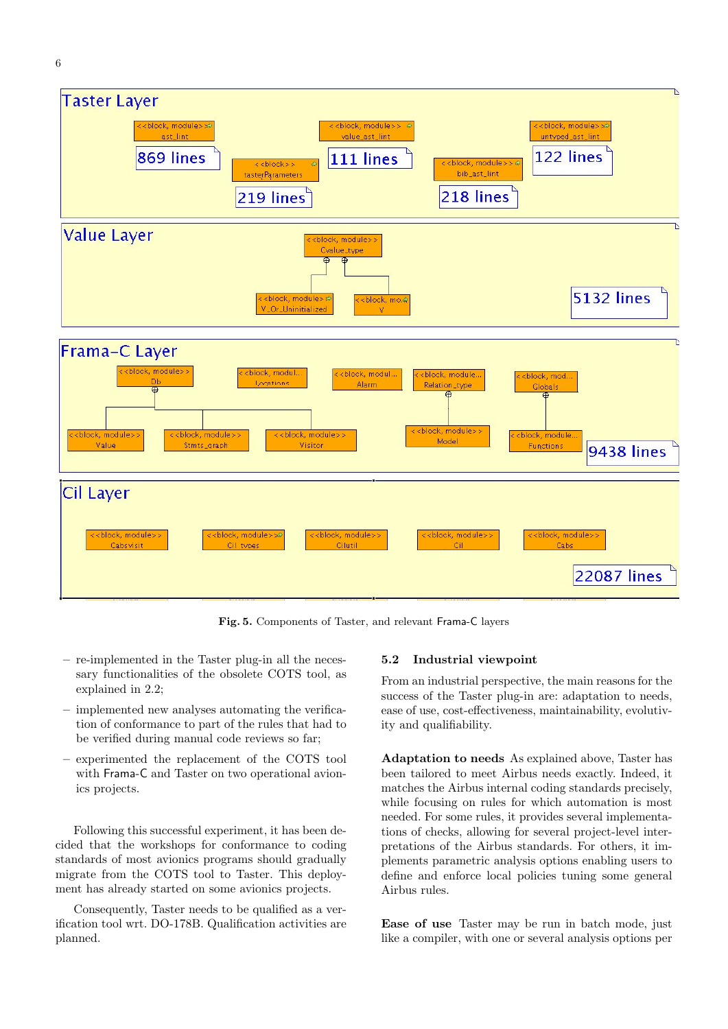

6



Fig. 5. Components of Taster, and relevant Frama-C layers

- re-implemented in the Taster plug-in all the necessary functionalities of the obsolete COTS tool, as explained in 2.2;
- implemented new analyses automating the verification of conformance to part of the rules that had to be verified during manual code reviews so far;
- experimented the replacement of the COTS tool with Frama-C and Taster on two operational avionics projects.

Following this successful experiment, it has been decided that the workshops for conformance to coding standards of most avionics programs should gradually migrate from the COTS tool to Taster. This deployment has already started on some avionics projects.

Consequently, Taster needs to be qualified as a verification tool wrt. DO-178B. Qualification activities are planned.

#### 5.2 Industrial viewpoint

From an industrial perspective, the main reasons for the success of the Taster plug-in are: adaptation to needs, ease of use, cost-effectiveness, maintainability, evolutivity and qualifiability.

Adaptation to needs As explained above, Taster has been tailored to meet Airbus needs exactly. Indeed, it matches the Airbus internal coding standards precisely, while focusing on rules for which automation is most needed. For some rules, it provides several implementations of checks, allowing for several project-level interpretations of the Airbus standards. For others, it implements parametric analysis options enabling users to define and enforce local policies tuning some general Airbus rules.

Ease of use Taster may be run in batch mode, just like a compiler, with one or several analysis options per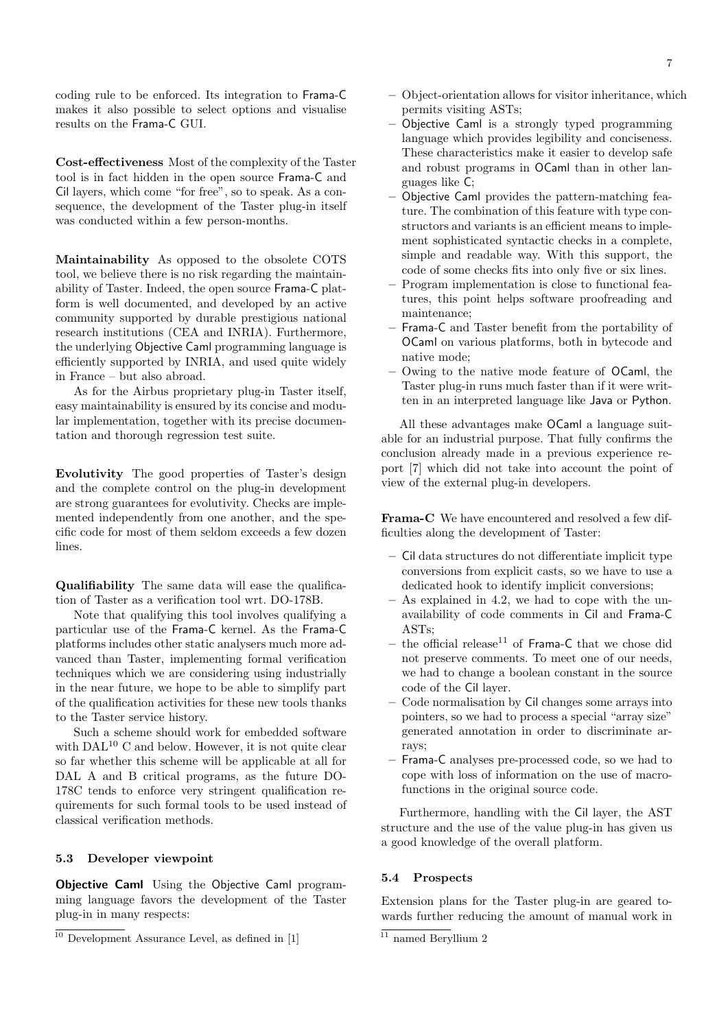coding rule to be enforced. Its integration to Frama-C makes it also possible to select options and visualise results on the Frama-C GUI.

Cost-effectiveness Most of the complexity of the Taster tool is in fact hidden in the open source Frama-C and Cil layers, which come "for free", so to speak. As a consequence, the development of the Taster plug-in itself was conducted within a few person-months.

Maintainability As opposed to the obsolete COTS tool, we believe there is no risk regarding the maintainability of Taster. Indeed, the open source Frama-C platform is well documented, and developed by an active community supported by durable prestigious national research institutions (CEA and INRIA). Furthermore, the underlying Objective Caml programming language is efficiently supported by INRIA, and used quite widely in France – but also abroad.

As for the Airbus proprietary plug-in Taster itself, easy maintainability is ensured by its concise and modular implementation, together with its precise documentation and thorough regression test suite.

Evolutivity The good properties of Taster's design and the complete control on the plug-in development are strong guarantees for evolutivity. Checks are implemented independently from one another, and the specific code for most of them seldom exceeds a few dozen lines.

Qualifiability The same data will ease the qualification of Taster as a verification tool wrt. DO-178B.

Note that qualifying this tool involves qualifying a particular use of the Frama-C kernel. As the Frama-C platforms includes other static analysers much more advanced than Taster, implementing formal verification techniques which we are considering using industrially in the near future, we hope to be able to simplify part of the qualification activities for these new tools thanks to the Taster service history.

Such a scheme should work for embedded software with  $\text{DAL}^{10}$  C and below. However, it is not quite clear so far whether this scheme will be applicable at all for DAL A and B critical programs, as the future DO-178C tends to enforce very stringent qualification requirements for such formal tools to be used instead of classical verification methods.

# 5.3 Developer viewpoint

**Objective Caml** Using the Objective Caml programming language favors the development of the Taster plug-in in many respects:

- Object-orientation allows for visitor inheritance, which permits visiting ASTs;
- Objective Caml is a strongly typed programming language which provides legibility and conciseness. These characteristics make it easier to develop safe and robust programs in OCaml than in other languages like C;
- Objective Caml provides the pattern-matching feature. The combination of this feature with type constructors and variants is an efficient means to implement sophisticated syntactic checks in a complete, simple and readable way. With this support, the code of some checks fits into only five or six lines.
- Program implementation is close to functional features, this point helps software proofreading and maintenance;
- Frama-C and Taster benefit from the portability of OCaml on various platforms, both in bytecode and native mode;
- Owing to the native mode feature of OCaml, the Taster plug-in runs much faster than if it were written in an interpreted language like Java or Python.

All these advantages make OCaml a language suitable for an industrial purpose. That fully confirms the conclusion already made in a previous experience report [7] which did not take into account the point of view of the external plug-in developers.

Frama-C We have encountered and resolved a few difficulties along the development of Taster:

- Cil data structures do not differentiate implicit type conversions from explicit casts, so we have to use a dedicated hook to identify implicit conversions;
- As explained in 4.2, we had to cope with the unavailability of code comments in Cil and Frama-C ASTs;
- the official release<sup>11</sup> of Frama-C that we chose did not preserve comments. To meet one of our needs, we had to change a boolean constant in the source code of the Cil layer.
- Code normalisation by Cil changes some arrays into pointers, so we had to process a special "array size" generated annotation in order to discriminate arrays;
- Frama-C analyses pre-processed code, so we had to cope with loss of information on the use of macrofunctions in the original source code.

Furthermore, handling with the Cil layer, the AST structure and the use of the value plug-in has given us a good knowledge of the overall platform.

### 5.4 Prospects

Extension plans for the Taster plug-in are geared towards further reducing the amount of manual work in

 $\frac{10}{10}$  Development Assurance Level, as defined in [1]

 $\overline{\frac{11}{11}}$  named Beryllium 2